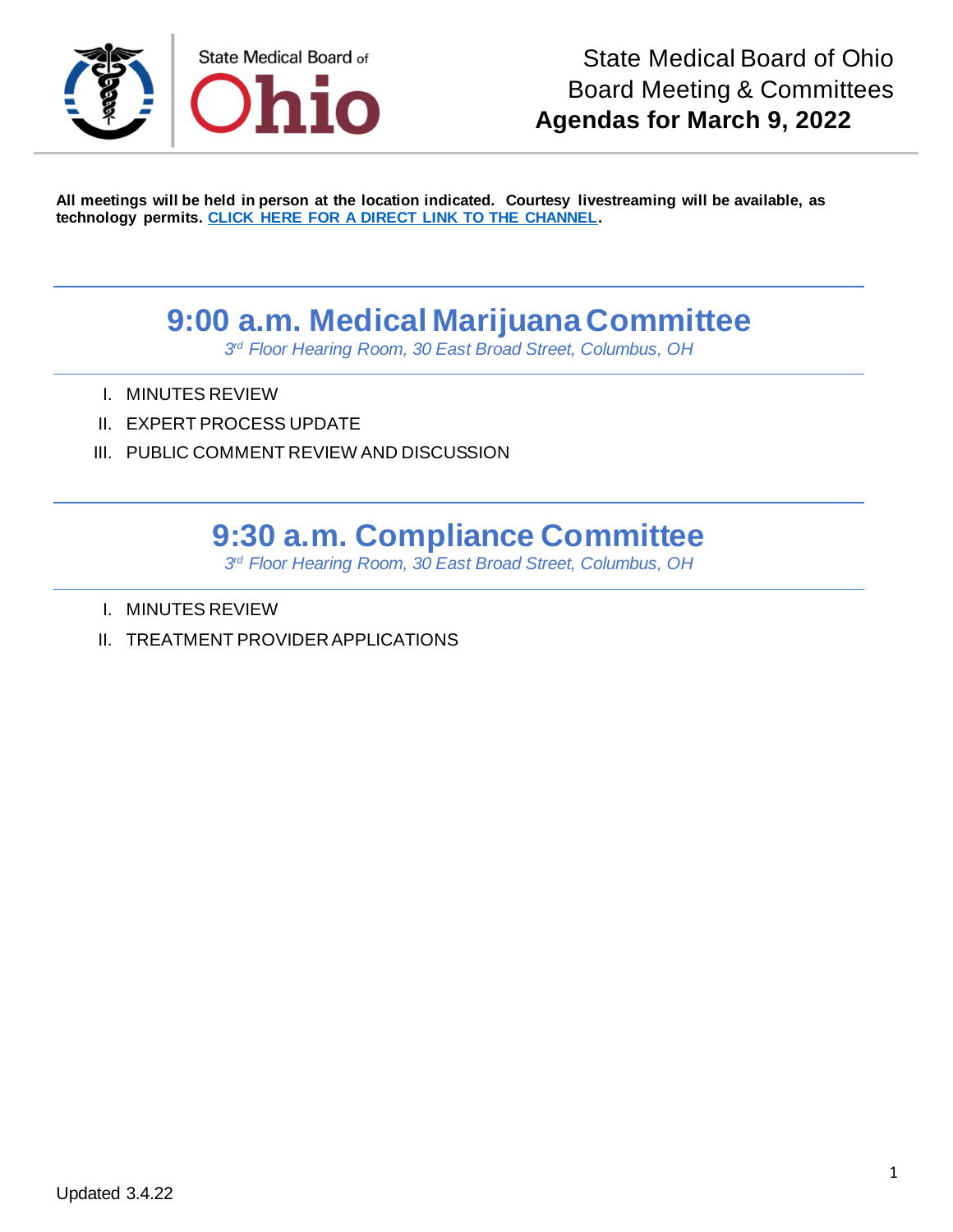

**All meetings will be held in person at the location indicated. Courtesy livestreaming will be available, as technology permits. [CLICK HERE FOR A DIRECT LINK TO THE CHANNEL.](https://www.youtube.com/channel/UCWBHBfwOyUtBZmBEZvtYPvA)**

## **9:00 a.m. Medical Marijuana Committee**

*3 rd Floor Hearing Room, 30 East Broad Street, Columbus, OH*

- I. MINUTES REVIEW
- II. EXPERT PROCESS UPDATE
- III. PUBLIC COMMENT REVIEW AND DISCUSSION

## **9:30 a.m. Compliance Committee**

*3 rd Floor Hearing Room, 30 East Broad Street, Columbus, OH*

- I. MINUTES REVIEW
- II. TREATMENT PROVIDER APPLICATIONS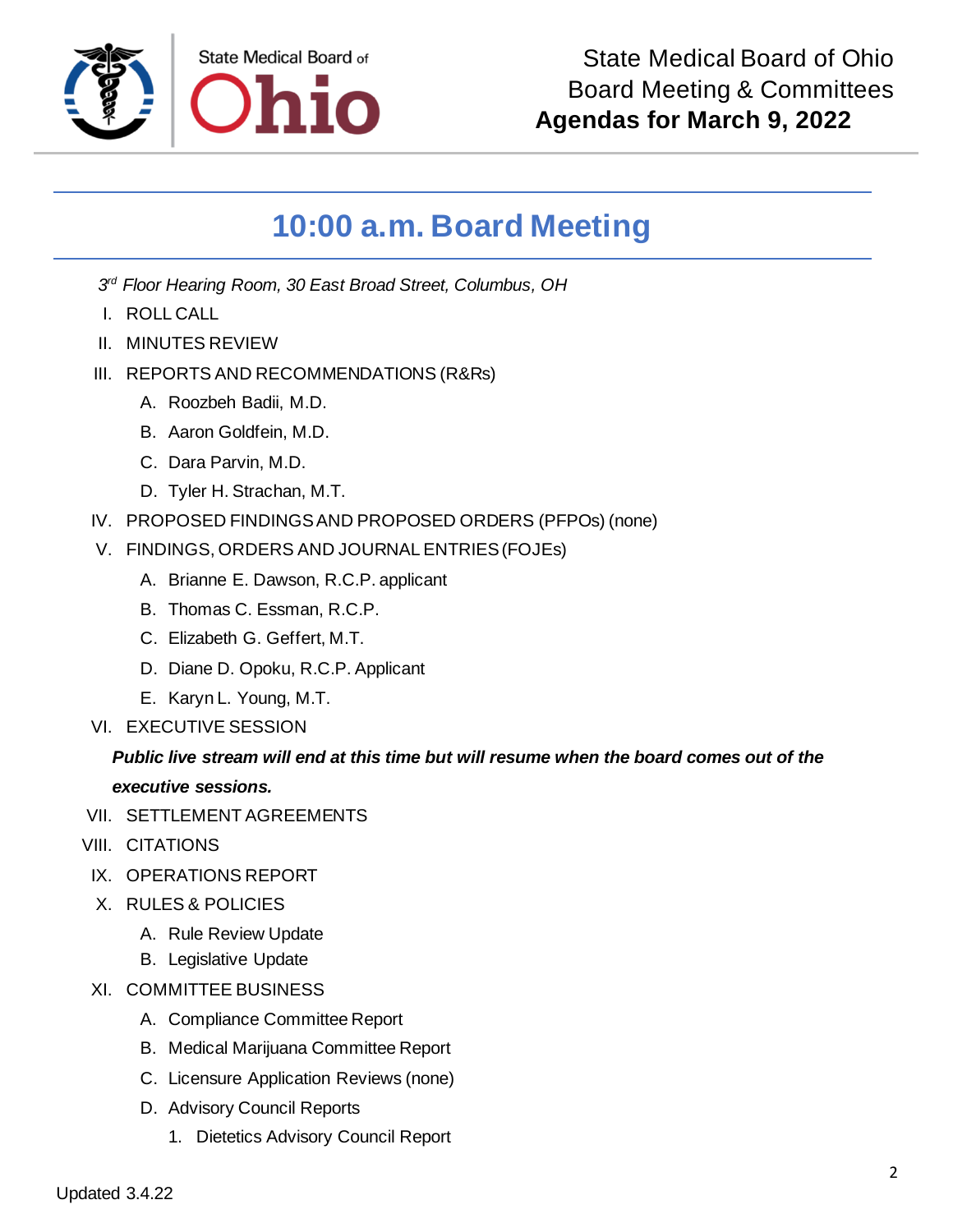

## **10:00 a.m. Board Meeting**

*3 rd Floor Hearing Room, 30 East Broad Street, Columbus, OH*

- I. ROLL CALL
- II. MINUTES REVIEW
- III. REPORTS AND RECOMMENDATIONS (R&Rs)
	- A. Roozbeh Badii, M.D.
	- B. Aaron Goldfein, M.D.
	- C. Dara Parvin, M.D.
	- D. Tyler H. Strachan, M.T.
- IV. PROPOSED FINDINGS AND PROPOSED ORDERS (PFPOs) (none)
- V. FINDINGS, ORDERS AND JOURNAL ENTRIES (FOJEs)
	- A. Brianne E. Dawson, R.C.P. applicant
	- B. Thomas C. Essman, R.C.P.
	- C. Elizabeth G. Geffert, M.T.
	- D. Diane D. Opoku, R.C.P. Applicant
	- E. Karyn L. Young, M.T.
- VI. EXECUTIVE SESSION

## *Public live stream will end at this time but will resume when the board comes out of the executive sessions.*

- VII. SETTLEMENT AGREEMENTS
- VIII. CITATIONS
- IX. OPERATIONS REPORT
- X. RULES & POLICIES
	- A. Rule Review Update
	- B. Legislative Update
- XI. COMMITTEE BUSINESS
	- A. Compliance Committee Report
	- B. Medical Marijuana Committee Report
	- C. Licensure Application Reviews (none)
	- D. Advisory Council Reports
		- 1. Dietetics Advisory Council Report